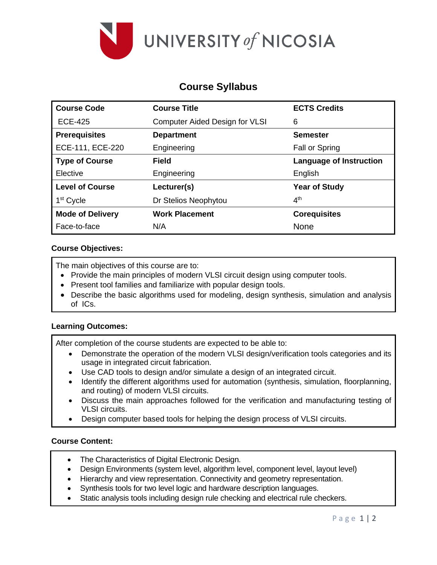

# **Course Syllabus**

| <b>Course Code</b>      | <b>Course Title</b>                   | <b>ECTS Credits</b>            |
|-------------------------|---------------------------------------|--------------------------------|
| <b>ECE-425</b>          | <b>Computer Aided Design for VLSI</b> | 6                              |
| <b>Prerequisites</b>    | <b>Department</b>                     | <b>Semester</b>                |
| ECE-111, ECE-220        | Engineering                           | Fall or Spring                 |
| <b>Type of Course</b>   | <b>Field</b>                          | <b>Language of Instruction</b> |
| Elective                | Engineering                           | English                        |
| <b>Level of Course</b>  | Lecturer(s)                           | <b>Year of Study</b>           |
| 1 <sup>st</sup> Cycle   | Dr Stelios Neophytou                  | 4 <sup>th</sup>                |
| <b>Mode of Delivery</b> | <b>Work Placement</b>                 | <b>Corequisites</b>            |
| Face-to-face            | N/A                                   | <b>None</b>                    |

## **Course Objectives:**

The main objectives of this course are to:

- Provide the main principles of modern VLSI circuit design using computer tools.
- Present tool families and familiarize with popular design tools.
- Describe the basic algorithms used for modeling, design synthesis, simulation and analysis of ICs.

## **Learning Outcomes:**

After completion of the course students are expected to be able to:

- Demonstrate the operation of the modern VLSI design/verification tools categories and its usage in integrated circuit fabrication.
- Use CAD tools to design and/or simulate a design of an integrated circuit.
- Identify the different algorithms used for automation (synthesis, simulation, floorplanning, and routing) of modern VLSI circuits.
- Discuss the main approaches followed for the verification and manufacturing testing of VLSI circuits.
- Design computer based tools for helping the design process of VLSI circuits.

## **Course Content:**

- The Characteristics of Digital Electronic Design.
- Design Environments (system level, algorithm level, component level, layout level)
- Hierarchy and view representation. Connectivity and geometry representation.
- Synthesis tools for two level logic and hardware description languages.
- Static analysis tools including design rule checking and electrical rule checkers.